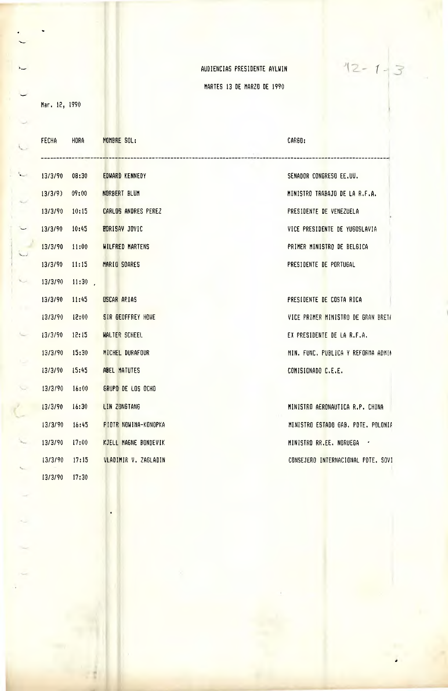## AUDIENCIAS PRESIDENTE AYLW1N

 $12 - 1 - 3$ 

## MARTES 13 DE MARZO DE 1990

Mar. 12, 1990

|        | <b>FECHA</b> | <b>HORA</b> | <b>NOMBRE SOL:</b>          | CARGO:                             |
|--------|--------------|-------------|-----------------------------|------------------------------------|
| $\sim$ | 13/3/90      | 08:30       | EDWARD KENNEDY              | SENADOR CONGRESO EE.UU.            |
|        | 13/3/9       | 09:00       | NORBERT BLUM                | MINISTRO TRABAJO DE LA R.F.A.      |
|        | 13/3/90      | 10:15       | CARLOS ANDRES PEREZ         | PRESIDENTE DE VENEZUELA            |
|        | 13/3/90      | 10:45       | <b>BORISAY JOVIC</b>        | VICE PRESIDENTE DE YUGOSLAVIA      |
|        | 13/3/90      | 11:00       | <b>WILFRED MARTENS</b>      | PRIMER MINISTRO DE BELGICA         |
|        | 13/3/90      | 11:15       | MARIO SOARES                | PRESIDENTE DE PORTUGAL             |
|        | 13/3/90      | $11:30$ ,   |                             |                                    |
|        | 13/3/90      | 11:45       | <b>OSCAR ARIAS</b>          | PRESIDENTE DE COSTA RICA           |
|        | 13/3/90      | 12:00       | SIR GEOFFREY HOWE           | VICE PRIMER MINISTRO DE GRAN BRETA |
|        | 13/3/90      | 12:15       | <b>WALTER SCHEEL</b>        | EX PRESIDENTE DE LA R.F.A.         |
|        | 13/3/90      | 15:30       | MICHEL DURAFOUR             | MIN. FUNC. PUBLICA Y REFORMA ADMIN |
|        | 13/3/90      | 15:45       | ABEL MATUTES                | COMISIONADO C.E.E.                 |
|        | 13/3/90      | 16:00       | GRUPO DE LOS OCHO           |                                    |
|        | 13/3/90      | 16:30       | LIN ZONGTANG                | MINISTRO AERONAUTICA R.P. CHINA    |
|        | 13/3/90      | 16:45       | <b>PIOTR NOWINA-KONOPKA</b> | MINISTRO ESTADO GAB. PDTE. POLONIA |
|        | 13/3/90      | 17:00       | KJELL MAGNE BONDEVIK        | MINISTRO RR.EE. NORUEGA            |
|        | 13/3/90      | 17:15       | VLADIMIR V. ZAGLADIN        | CONSEJERO INTERNACIONAL PDTE, SOVI |
|        | 13/3/90      | 17:30       |                             |                                    |